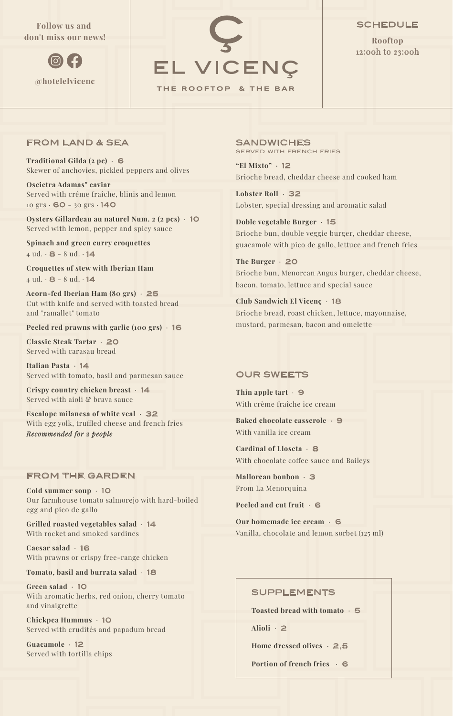# **Follow us and don't miss our news!**





### **SCHEDULE**

**Rooftop** 12:00h to 23:00h

#### FROM LAND & SEA

**Traditional Gilda (2 pc)** · 6 Skewer of anchovies, pickled peppers and olives

**Oscietra Adamas" caviar** Served with crême fraîche, blinis and lemon  $10 \text{ }\text{grs} \cdot \text{60} - 30 \text{ }\text{grs} \cdot \text{140}$ 

**Oysters Gillardeau au naturel Num. 2 (2 pcs)** · 10 Served with lemon, pepper and spicy sauce

**Spinach and green curry croquettes**   $4$  ud.  $\cdot$  8 - 8 ud.  $\cdot$  14

**Croquettes of stew with Iberian Ham**  $4$  ud.  $\cdot$  8 - 8 ud.  $\cdot$  14

**Acorn-fed Iberian Ham (80 grs)** · 25 Cut with knife and served with toasted bread and "ramallet" tomato

**Peeled red prawns with garlic (100 grs)** · 16

**Classic Steak Tartar** · 20 Served with carasau bread

**Italian Pasta** · 14 Served with tomato, basil and parmesan sauce

**Crispy country chicken breast** · 14 Served with aioli & brava sauce

**Escalope milanesa of white veal** · 32 With egg yolk, truffled cheese and french fries *Recommended for 2 people*

# FROM THE GARDEN

**Cold summer soup** · 10 Our farmhouse tomato salmorejo with hard-boiled egg and pico de gallo

**Grilled roasted vegetables salad** · 14 With rocket and smoked sardines

**Caesar salad** · 16 With prawns or crispy free-range chicken

**Tomato, basil and burrata salad** · 18

**Green salad** · 10 With aromatic herbs, red onion, cherry tomato and vinaigrette

**Chickpea Hummus** · 10 Served with crudités and papadum bread

**Guacamole** · 12 Served with tortilla chips **SANDWICHES** SERVED WITH FRENCH FRIES

**"El Mixto"** · 12 Brioche bread, cheddar cheese and cooked ham

**Lobster Roll** · 32 Lobster, special dressing and aromatic salad

**Doble vegetable Burger** · 15 Brioche bun, double veggie burger, cheddar cheese, guacamole with pico de gallo, lettuce and french fries

**The Burger** · 20 Brioche bun, Menorcan Angus burger, cheddar cheese, bacon, tomato, lettuce and special sauce

**Club Sandwich El Vicenç** · 18 Brioche bread, roast chicken, lettuce, mayonnaise, mustard, parmesan, bacon and omelette

### OUR SWEETS

**Thin apple tart** · 9 With crème fraîche ice cream

**Baked chocolate casserole** · 9 With vanilla ice cream

**Cardinal of Lloseta** · 8 With chocolate coffee sauce and Baileys

**Mallorcan bonbon** · 3 From La Menorquina

**Peeled and cut fruit** · 6

**Our homemade ice cream** · 6 Vanilla, chocolate and lemon sorbet (125 ml)

#### SUPPLEMENTS

**Toasted bread with tomato** · 5

**Alioli** · 2

**Home dressed olives** · 2,5

**Portion of french fries** · 6